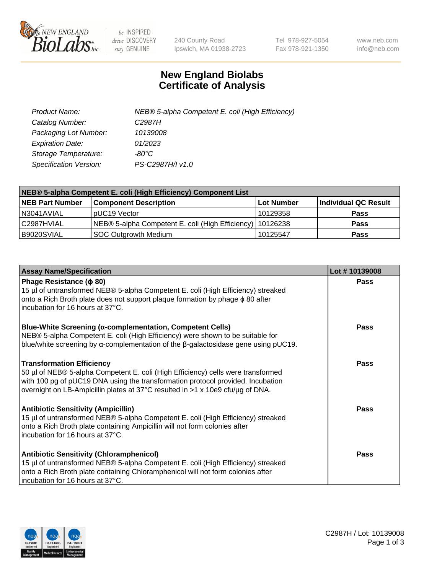

 $be$  INSPIRED drive DISCOVERY stay GENUINE

240 County Road Ipswich, MA 01938-2723 Tel 978-927-5054 Fax 978-921-1350 www.neb.com info@neb.com

## **New England Biolabs Certificate of Analysis**

| Product Name:           | NEB® 5-alpha Competent E. coli (High Efficiency) |
|-------------------------|--------------------------------------------------|
| Catalog Number:         | C <sub>2987</sub> H                              |
| Packaging Lot Number:   | 10139008                                         |
| <b>Expiration Date:</b> | 01/2023                                          |
| Storage Temperature:    | -80°C.                                           |
| Specification Version:  | PS-C2987H/I v1.0                                 |

| NEB® 5-alpha Competent E. coli (High Efficiency) Component List |                                                             |                   |                      |  |
|-----------------------------------------------------------------|-------------------------------------------------------------|-------------------|----------------------|--|
| <b>NEB Part Number</b>                                          | <b>Component Description</b>                                | <b>Lot Number</b> | Individual QC Result |  |
| N3041AVIAL                                                      | pUC19 Vector                                                | 10129358          | <b>Pass</b>          |  |
| C2987HVIAL                                                      | NEB® 5-alpha Competent E. coli (High Efficiency)   10126238 |                   | <b>Pass</b>          |  |
| B9020SVIAL                                                      | SOC Outgrowth Medium                                        | 10125547          | <b>Pass</b>          |  |

| <b>Assay Name/Specification</b>                                                                                                                                                                                                                                                           | Lot #10139008 |
|-------------------------------------------------------------------------------------------------------------------------------------------------------------------------------------------------------------------------------------------------------------------------------------------|---------------|
| Phage Resistance ( $\phi$ 80)<br>15 µl of untransformed NEB® 5-alpha Competent E. coli (High Efficiency) streaked<br>onto a Rich Broth plate does not support plaque formation by phage φ 80 after<br>incubation for 16 hours at 37°C.                                                    | Pass          |
| <b>Blue-White Screening (α-complementation, Competent Cells)</b><br>NEB® 5-alpha Competent E. coli (High Efficiency) were shown to be suitable for<br>blue/white screening by $\alpha$ -complementation of the $\beta$ -galactosidase gene using pUC19.                                   | Pass          |
| <b>Transformation Efficiency</b><br>50 µl of NEB® 5-alpha Competent E. coli (High Efficiency) cells were transformed<br>with 100 pg of pUC19 DNA using the transformation protocol provided. Incubation<br>overnight on LB-Ampicillin plates at 37°C resulted in >1 x 10e9 cfu/µg of DNA. | Pass          |
| <b>Antibiotic Sensitivity (Ampicillin)</b><br>15 µl of untransformed NEB® 5-alpha Competent E. coli (High Efficiency) streaked<br>onto a Rich Broth plate containing Ampicillin will not form colonies after<br>incubation for 16 hours at 37°C.                                          | Pass          |
| <b>Antibiotic Sensitivity (Chloramphenicol)</b><br>15 µl of untransformed NEB® 5-alpha Competent E. coli (High Efficiency) streaked<br>onto a Rich Broth plate containing Chloramphenicol will not form colonies after<br>incubation for 16 hours at 37°C.                                | Pass          |

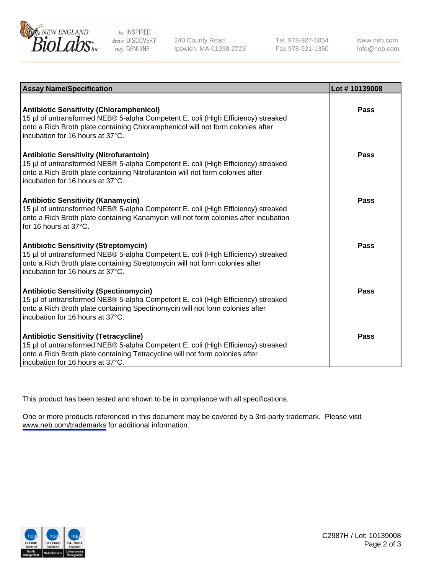

be INSPIRED drive DISCOVERY stay GENUINE

240 County Road Ipswich, MA 01938-2723 Tel 978-927-5054 Fax 978-921-1350

www.neb.com info@neb.com

| <b>Assay Name/Specification</b>                                                                                                                                                                                                                            | Lot #10139008 |
|------------------------------------------------------------------------------------------------------------------------------------------------------------------------------------------------------------------------------------------------------------|---------------|
| <b>Antibiotic Sensitivity (Chloramphenicol)</b><br>15 µl of untransformed NEB® 5-alpha Competent E. coli (High Efficiency) streaked<br>onto a Rich Broth plate containing Chloramphenicol will not form colonies after<br>incubation for 16 hours at 37°C. | Pass          |
| <b>Antibiotic Sensitivity (Nitrofurantoin)</b><br>15 µl of untransformed NEB® 5-alpha Competent E. coli (High Efficiency) streaked<br>onto a Rich Broth plate containing Nitrofurantoin will not form colonies after<br>incubation for 16 hours at 37°C.   | Pass          |
| <b>Antibiotic Sensitivity (Kanamycin)</b><br>15 µl of untransformed NEB® 5-alpha Competent E. coli (High Efficiency) streaked<br>onto a Rich Broth plate containing Kanamycin will not form colonies after incubation<br>for 16 hours at $37^{\circ}$ C.   | Pass          |
| <b>Antibiotic Sensitivity (Streptomycin)</b><br>15 µl of untransformed NEB® 5-alpha Competent E. coli (High Efficiency) streaked<br>onto a Rich Broth plate containing Streptomycin will not form colonies after<br>incubation for 16 hours at 37°C.       | Pass          |
| <b>Antibiotic Sensitivity (Spectinomycin)</b><br>15 µl of untransformed NEB® 5-alpha Competent E. coli (High Efficiency) streaked<br>onto a Rich Broth plate containing Spectinomycin will not form colonies after<br>incubation for 16 hours at 37°C.     | Pass          |
| <b>Antibiotic Sensitivity (Tetracycline)</b><br>15 µl of untransformed NEB® 5-alpha Competent E. coli (High Efficiency) streaked<br>onto a Rich Broth plate containing Tetracycline will not form colonies after<br>incubation for 16 hours at 37°C.       | Pass          |

This product has been tested and shown to be in compliance with all specifications.

One or more products referenced in this document may be covered by a 3rd-party trademark. Please visit <www.neb.com/trademarks>for additional information.